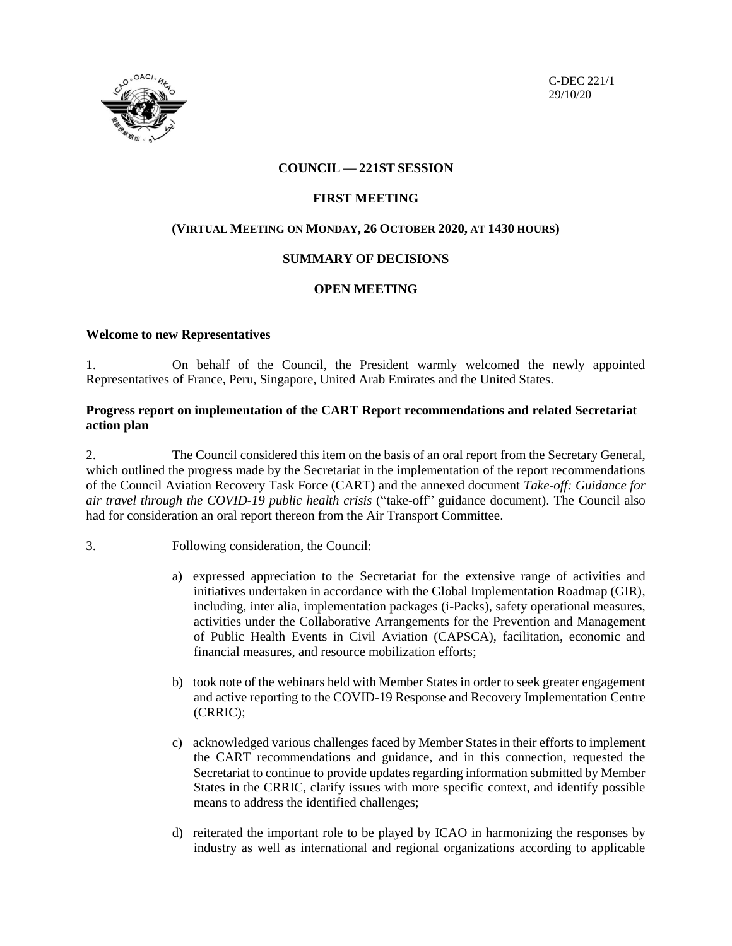

C-DEC 221/1 29/10/20

# **COUNCIL — 221ST SESSION**

# **FIRST MEETING**

# **(VIRTUAL MEETING ON MONDAY, 26 OCTOBER 2020, AT 1430 HOURS)**

# **SUMMARY OF DECISIONS**

# **OPEN MEETING**

# **Welcome to new Representatives**

1. On behalf of the Council, the President warmly welcomed the newly appointed Representatives of France, Peru, Singapore, United Arab Emirates and the United States.

# **Progress report on implementation of the CART Report recommendations and related Secretariat action plan**

2. The Council considered this item on the basis of an oral report from the Secretary General, which outlined the progress made by the Secretariat in the implementation of the report recommendations of the Council Aviation Recovery Task Force (CART) and the annexed document *Take-off: Guidance for air travel through the COVID-19 public health crisis* ("take-off" guidance document). The Council also had for consideration an oral report thereon from the Air Transport Committee.

- 3. Following consideration, the Council:
	- a) expressed appreciation to the Secretariat for the extensive range of activities and initiatives undertaken in accordance with the Global Implementation Roadmap (GIR), including, inter alia, implementation packages (i-Packs), safety operational measures, activities under the Collaborative Arrangements for the Prevention and Management of Public Health Events in Civil Aviation (CAPSCA), facilitation, economic and financial measures, and resource mobilization efforts;
	- b) took note of the webinars held with Member States in order to seek greater engagement and active reporting to the COVID-19 Response and Recovery Implementation Centre (CRRIC);
	- c) acknowledged various challenges faced by Member States in their efforts to implement the CART recommendations and guidance, and in this connection, requested the Secretariat to continue to provide updates regarding information submitted by Member States in the CRRIC, clarify issues with more specific context, and identify possible means to address the identified challenges;
	- d) reiterated the important role to be played by ICAO in harmonizing the responses by industry as well as international and regional organizations according to applicable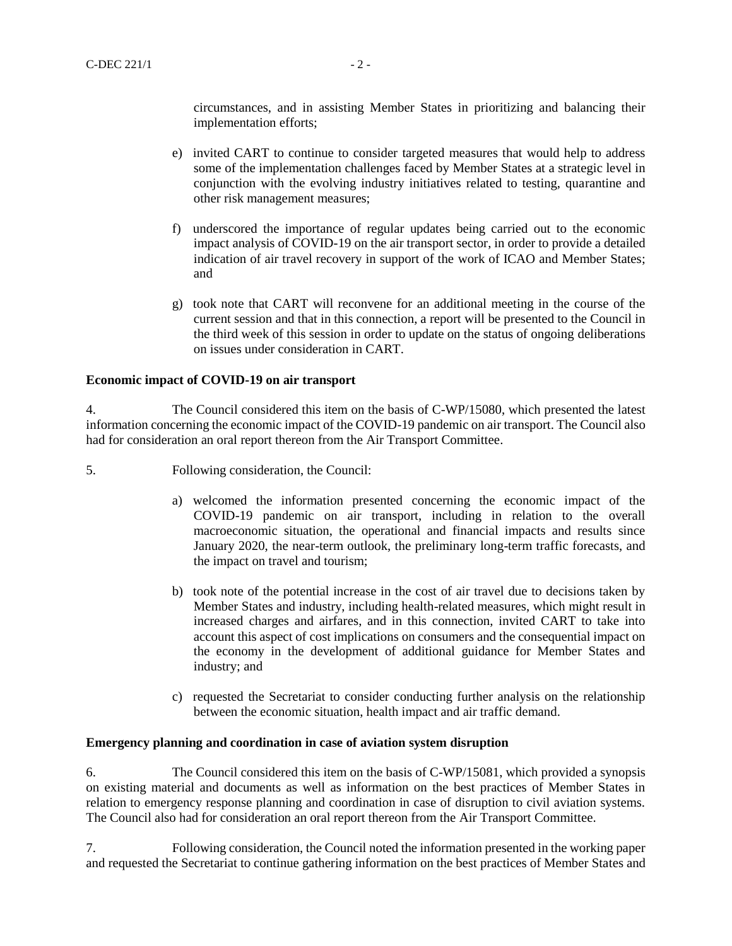circumstances, and in assisting Member States in prioritizing and balancing their implementation efforts;

- e) invited CART to continue to consider targeted measures that would help to address some of the implementation challenges faced by Member States at a strategic level in conjunction with the evolving industry initiatives related to testing, quarantine and other risk management measures;
- f) underscored the importance of regular updates being carried out to the economic impact analysis of COVID-19 on the air transport sector, in order to provide a detailed indication of air travel recovery in support of the work of ICAO and Member States; and
- g) took note that CART will reconvene for an additional meeting in the course of the current session and that in this connection, a report will be presented to the Council in the third week of this session in order to update on the status of ongoing deliberations on issues under consideration in CART.

#### **Economic impact of COVID-19 on air transport**

4. The Council considered this item on the basis of C-WP/15080, which presented the latest information concerning the economic impact of the COVID-19 pandemic on air transport. The Council also had for consideration an oral report thereon from the Air Transport Committee.

- 5. Following consideration, the Council:
	- a) welcomed the information presented concerning the economic impact of the COVID-19 pandemic on air transport, including in relation to the overall macroeconomic situation, the operational and financial impacts and results since January 2020, the near-term outlook, the preliminary long-term traffic forecasts, and the impact on travel and tourism;
	- b) took note of the potential increase in the cost of air travel due to decisions taken by Member States and industry, including health-related measures, which might result in increased charges and airfares, and in this connection, invited CART to take into account this aspect of cost implications on consumers and the consequential impact on the economy in the development of additional guidance for Member States and industry; and
	- c) requested the Secretariat to consider conducting further analysis on the relationship between the economic situation, health impact and air traffic demand.

## **Emergency planning and coordination in case of aviation system disruption**

6. The Council considered this item on the basis of C-WP/15081, which provided a synopsis on existing material and documents as well as information on the best practices of Member States in relation to emergency response planning and coordination in case of disruption to civil aviation systems. The Council also had for consideration an oral report thereon from the Air Transport Committee.

7. Following consideration, the Council noted the information presented in the working paper and requested the Secretariat to continue gathering information on the best practices of Member States and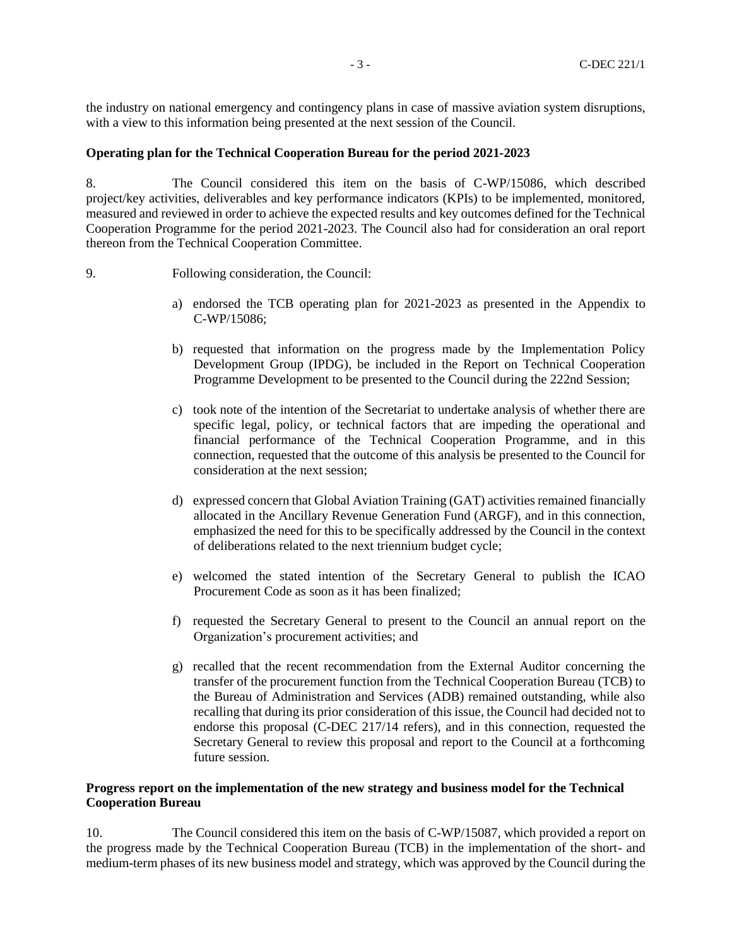the industry on national emergency and contingency plans in case of massive aviation system disruptions, with a view to this information being presented at the next session of the Council.

#### **Operating plan for the Technical Cooperation Bureau for the period 2021-2023**

8. The Council considered this item on the basis of C-WP/15086, which described project/key activities, deliverables and key performance indicators (KPIs) to be implemented, monitored, measured and reviewed in order to achieve the expected results and key outcomes defined for the Technical Cooperation Programme for the period 2021-2023. The Council also had for consideration an oral report thereon from the Technical Cooperation Committee.

- 9. Following consideration, the Council:
	- a) endorsed the TCB operating plan for 2021-2023 as presented in the Appendix to C-WP/15086;
	- b) requested that information on the progress made by the Implementation Policy Development Group (IPDG), be included in the Report on Technical Cooperation Programme Development to be presented to the Council during the 222nd Session;
	- c) took note of the intention of the Secretariat to undertake analysis of whether there are specific legal, policy, or technical factors that are impeding the operational and financial performance of the Technical Cooperation Programme, and in this connection, requested that the outcome of this analysis be presented to the Council for consideration at the next session;
	- d) expressed concern that Global Aviation Training (GAT) activities remained financially allocated in the Ancillary Revenue Generation Fund (ARGF), and in this connection, emphasized the need for this to be specifically addressed by the Council in the context of deliberations related to the next triennium budget cycle;
	- e) welcomed the stated intention of the Secretary General to publish the ICAO Procurement Code as soon as it has been finalized;
	- f) requested the Secretary General to present to the Council an annual report on the Organization's procurement activities; and
	- g) recalled that the recent recommendation from the External Auditor concerning the transfer of the procurement function from the Technical Cooperation Bureau (TCB) to the Bureau of Administration and Services (ADB) remained outstanding, while also recalling that during its prior consideration of this issue, the Council had decided not to endorse this proposal (C-DEC 217/14 refers), and in this connection, requested the Secretary General to review this proposal and report to the Council at a forthcoming future session.

# **Progress report on the implementation of the new strategy and business model for the Technical Cooperation Bureau**

10. The Council considered this item on the basis of C-WP/15087, which provided a report on the progress made by the Technical Cooperation Bureau (TCB) in the implementation of the short- and medium-term phases of its new business model and strategy, which was approved by the Council during the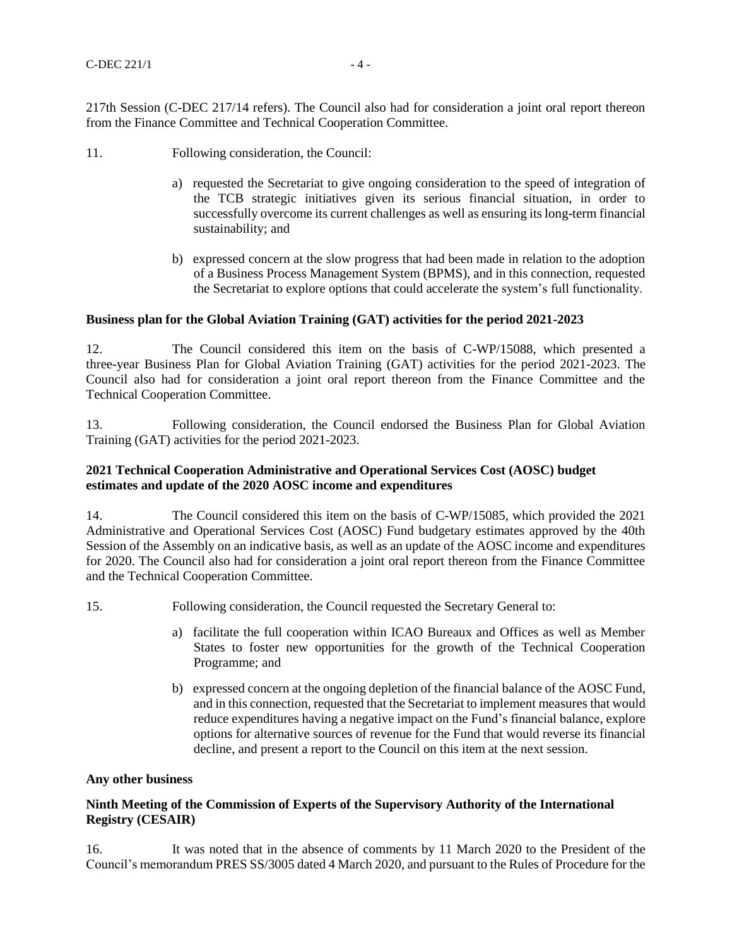217th Session (C-DEC 217/14 refers). The Council also had for consideration a joint oral report thereon from the Finance Committee and Technical Cooperation Committee.

- 11. Following consideration, the Council:
	- a) requested the Secretariat to give ongoing consideration to the speed of integration of the TCB strategic initiatives given its serious financial situation, in order to successfully overcome its current challenges as well as ensuring its long-term financial sustainability; and
	- b) expressed concern at the slow progress that had been made in relation to the adoption of a Business Process Management System (BPMS), and in this connection, requested the Secretariat to explore options that could accelerate the system's full functionality.

#### **Business plan for the Global Aviation Training (GAT) activities for the period 2021-2023**

12. The Council considered this item on the basis of C-WP/15088, which presented a three-year Business Plan for Global Aviation Training (GAT) activities for the period 2021-2023. The Council also had for consideration a joint oral report thereon from the Finance Committee and the Technical Cooperation Committee.

13. Following consideration, the Council endorsed the Business Plan for Global Aviation Training (GAT) activities for the period 2021-2023.

# **2021 Technical Cooperation Administrative and Operational Services Cost (AOSC) budget estimates and update of the 2020 AOSC income and expenditures**

14. The Council considered this item on the basis of C-WP/15085, which provided the 2021 Administrative and Operational Services Cost (AOSC) Fund budgetary estimates approved by the 40th Session of the Assembly on an indicative basis, as well as an update of the AOSC income and expenditures for 2020. The Council also had for consideration a joint oral report thereon from the Finance Committee and the Technical Cooperation Committee.

15. Following consideration, the Council requested the Secretary General to:

- a) facilitate the full cooperation within ICAO Bureaux and Offices as well as Member States to foster new opportunities for the growth of the Technical Cooperation Programme; and
- b) expressed concern at the ongoing depletion of the financial balance of the AOSC Fund, and in this connection, requested that the Secretariat to implement measures that would reduce expenditures having a negative impact on the Fund's financial balance, explore options for alternative sources of revenue for the Fund that would reverse its financial decline, and present a report to the Council on this item at the next session.

#### **Any other business**

## **Ninth Meeting of the Commission of Experts of the Supervisory Authority of the International Registry (CESAIR)**

16. It was noted that in the absence of comments by 11 March 2020 to the President of the Council's memorandum PRES SS/3005 dated 4 March 2020, and pursuant to the Rules of Procedure for the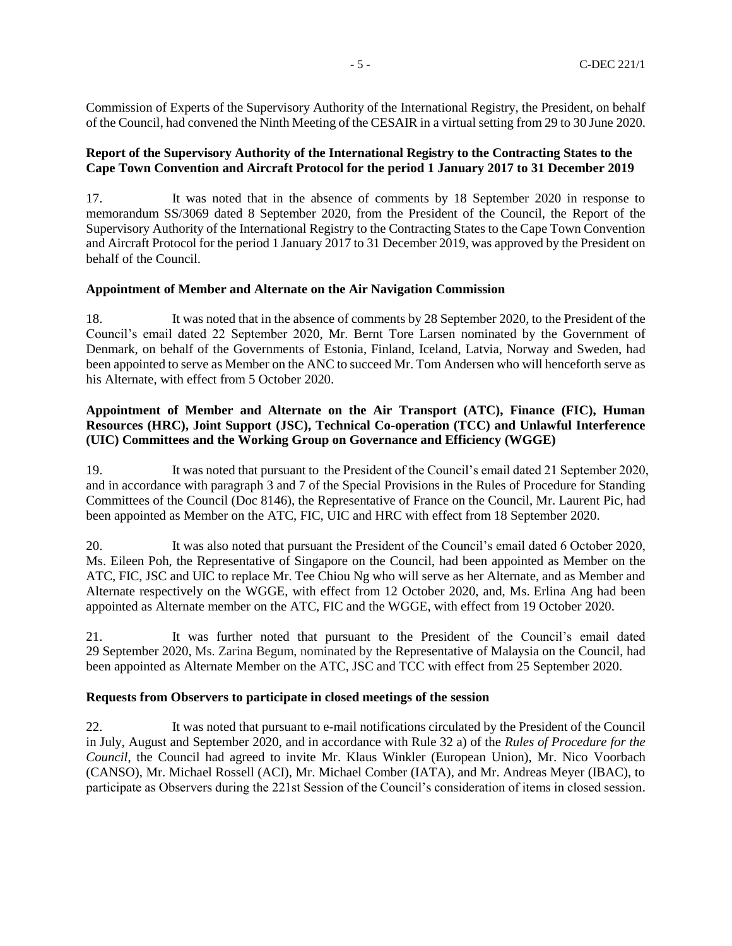Commission of Experts of the Supervisory Authority of the International Registry, the President, on behalf of the Council, had convened the Ninth Meeting of the CESAIR in a virtual setting from 29 to 30 June 2020.

## **Report of the Supervisory Authority of the International Registry to the Contracting States to the Cape Town Convention and Aircraft Protocol for the period 1 January 2017 to 31 December 2019**

17. It was noted that in the absence of comments by 18 September 2020 in response to memorandum SS/3069 dated 8 September 2020, from the President of the Council, the Report of the Supervisory Authority of the International Registry to the Contracting States to the Cape Town Convention and Aircraft Protocol for the period 1 January 2017 to 31 December 2019, was approved by the President on behalf of the Council.

## **Appointment of Member and Alternate on the Air Navigation Commission**

18. It was noted that in the absence of comments by 28 September 2020, to the President of the Council's email dated 22 September 2020, Mr. Bernt Tore Larsen nominated by the Government of Denmark, on behalf of the Governments of Estonia, Finland, Iceland, Latvia, Norway and Sweden, had been appointed to serve as Member on the ANC to succeed Mr. Tom Andersen who will henceforth serve as his Alternate, with effect from 5 October 2020.

# **Appointment of Member and Alternate on the Air Transport (ATC), Finance (FIC), Human Resources (HRC), Joint Support (JSC), Technical Co-operation (TCC) and Unlawful Interference (UIC) Committees and the Working Group on Governance and Efficiency (WGGE)**

19. It was noted that pursuant to the President of the Council's email dated 21 September 2020, and in accordance with paragraph 3 and 7 of the Special Provisions in the Rules of Procedure for Standing Committees of the Council (Doc 8146), the Representative of France on the Council, Mr. Laurent Pic, had been appointed as Member on the ATC, FIC, UIC and HRC with effect from 18 September 2020.

20. It was also noted that pursuant the President of the Council's email dated 6 October 2020, Ms. Eileen Poh, the Representative of Singapore on the Council, had been appointed as Member on the ATC, FIC, JSC and UIC to replace Mr. Tee Chiou Ng who will serve as her Alternate, and as Member and Alternate respectively on the WGGE, with effect from 12 October 2020, and, Ms. Erlina Ang had been appointed as Alternate member on the ATC, FIC and the WGGE, with effect from 19 October 2020.

21. It was further noted that pursuant to the President of the Council's email dated 29 September 2020, Ms. Zarina Begum, nominated by the Representative of Malaysia on the Council, had been appointed as Alternate Member on the ATC, JSC and TCC with effect from 25 September 2020.

## **Requests from Observers to participate in closed meetings of the session**

22. It was noted that pursuant to e-mail notifications circulated by the President of the Council in July, August and September 2020, and in accordance with Rule 32 a) of the *Rules of Procedure for the Council*, the Council had agreed to invite Mr. Klaus Winkler (European Union), Mr. Nico Voorbach (CANSO), Mr. Michael Rossell (ACI), Mr. Michael Comber (IATA), and Mr. Andreas Meyer (IBAC), to participate as Observers during the 221st Session of the Council's consideration of items in closed session.